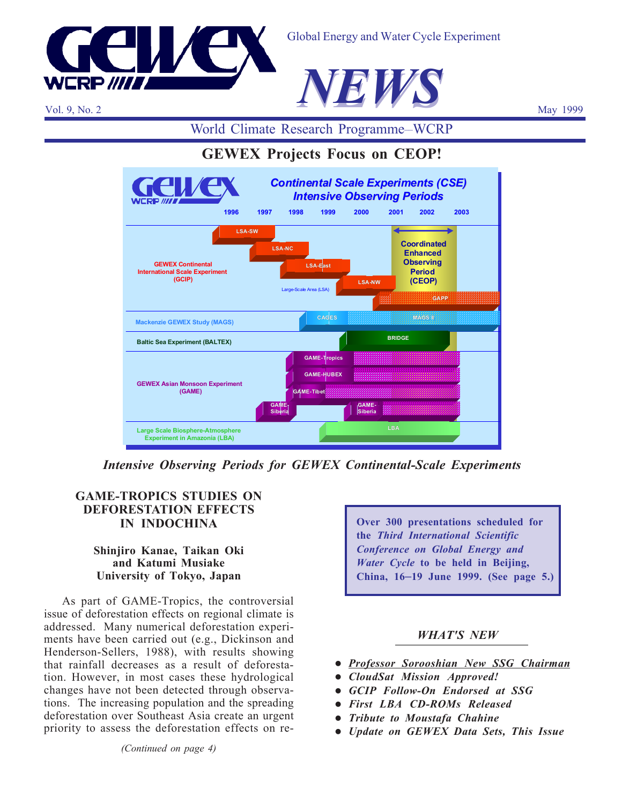



*Intensive Observing Periods for GEWEX Continental-Scale Experiments*

# **GAME-TROPICS STUDIES ON DEFORESTATION EFFECTS IN INDOCHINA**

### **Shinjiro Kanae, Taikan Oki and Katumi Musiake University of Tokyo, Japan**

As part of GAME-Tropics, the controversial issue of deforestation effects on regional climate is addressed. Many numerical deforestation experiments have been carried out (e.g., Dickinson and Henderson-Sellers, 1988), with results showing that rainfall decreases as a result of deforestation. However, in most cases these hydrological changes have not been detected through observations. The increasing population and the spreading deforestation over Southeast Asia create an urgent priority to assess the deforestation effects on re**Over 300 presentations scheduled for the** *Third International Scientific Conference on Global Energy and Water Cycle* **to be held in Beijing, China, 16–19 June 1999. (See page 5.)**

### *WHAT'S NEW*

- z *Professor Sorooshian New SSG Chairman*
- **CloudSat Mission Approved!**
- z *GCIP Follow-On Endorsed at SSG*
- z *First LBA CD-ROMs Released*
- **•** *Tribute to Moustafa Chahine*
- z *Update on GEWEX Data Sets, This Issue*

*(Continued on page 4)*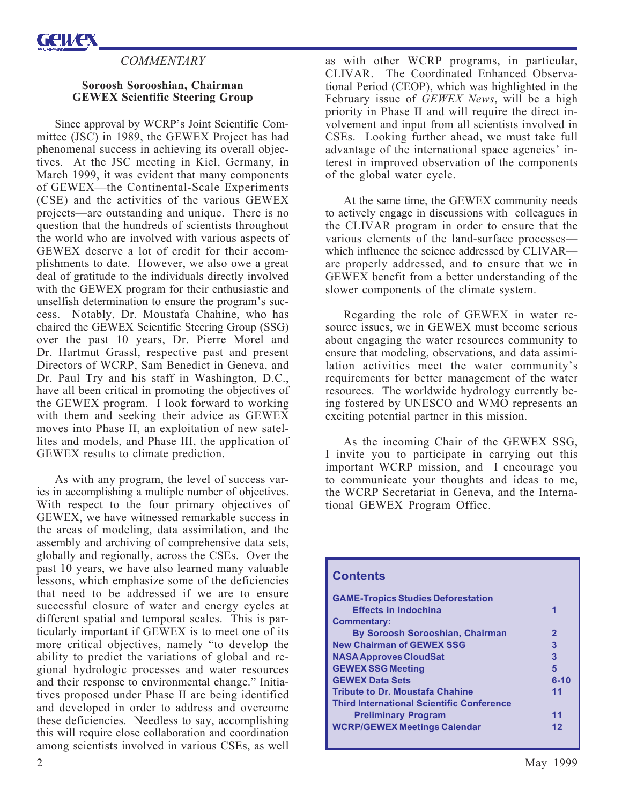

### *COMMENTARY*

#### **Soroosh Sorooshian, Chairman GEWEX Scientific Steering Group**

Since approval by WCRP's Joint Scientific Committee (JSC) in 1989, the GEWEX Project has had phenomenal success in achieving its overall objectives. At the JSC meeting in Kiel, Germany, in March 1999, it was evident that many components of GEWEX—the Continental-Scale Experiments (CSE) and the activities of the various GEWEX projects—are outstanding and unique. There is no question that the hundreds of scientists throughout the world who are involved with various aspects of GEWEX deserve a lot of credit for their accomplishments to date. However, we also owe a great deal of gratitude to the individuals directly involved with the GEWEX program for their enthusiastic and unselfish determination to ensure the program's success. Notably, Dr. Moustafa Chahine, who has chaired the GEWEX Scientific Steering Group (SSG) over the past 10 years, Dr. Pierre Morel and Dr. Hartmut Grassl, respective past and present Directors of WCRP, Sam Benedict in Geneva, and Dr. Paul Try and his staff in Washington, D.C., have all been critical in promoting the objectives of the GEWEX program. I look forward to working with them and seeking their advice as GEWEX moves into Phase II, an exploitation of new satellites and models, and Phase III, the application of GEWEX results to climate prediction.

As with any program, the level of success varies in accomplishing a multiple number of objectives. With respect to the four primary objectives of GEWEX, we have witnessed remarkable success in the areas of modeling, data assimilation, and the assembly and archiving of comprehensive data sets, globally and regionally, across the CSEs. Over the past 10 years, we have also learned many valuable lessons, which emphasize some of the deficiencies that need to be addressed if we are to ensure successful closure of water and energy cycles at different spatial and temporal scales. This is particularly important if GEWEX is to meet one of its more critical objectives, namely "to develop the ability to predict the variations of global and regional hydrologic processes and water resources and their response to environmental change." Initiatives proposed under Phase II are being identified and developed in order to address and overcome these deficiencies. Needless to say, accomplishing this will require close collaboration and coordination among scientists involved in various CSEs, as well

as with other WCRP programs, in particular, CLIVAR. The Coordinated Enhanced Observational Period (CEOP), which was highlighted in the February issue of *GEWEX News*, will be a high priority in Phase II and will require the direct involvement and input from all scientists involved in CSEs. Looking further ahead, we must take full advantage of the international space agencies' interest in improved observation of the components of the global water cycle.

At the same time, the GEWEX community needs to actively engage in discussions with colleagues in the CLIVAR program in order to ensure that the various elements of the land-surface processes which influence the science addressed by CLIVAR are properly addressed, and to ensure that we in GEWEX benefit from a better understanding of the slower components of the climate system.

Regarding the role of GEWEX in water resource issues, we in GEWEX must become serious about engaging the water resources community to ensure that modeling, observations, and data assimilation activities meet the water community's requirements for better management of the water resources. The worldwide hydrology currently being fostered by UNESCO and WMO represents an exciting potential partner in this mission.

As the incoming Chair of the GEWEX SSG, I invite you to participate in carrying out this important WCRP mission, and I encourage you to communicate your thoughts and ideas to me, the WCRP Secretariat in Geneva, and the International GEWEX Program Office.

| <b>Contents</b>                                  |              |
|--------------------------------------------------|--------------|
| <b>GAME-Tropics Studies Deforestation</b>        |              |
| <b>Effects in Indochina</b>                      |              |
| <b>Commentary:</b>                               |              |
| <b>By Soroosh Sorooshian, Chairman</b>           | $\mathbf{2}$ |
| <b>New Chairman of GEWEX SSG</b>                 | 3            |
| <b>NASA Approves CloudSat</b>                    | 3            |
| <b>GEWEX SSG Meeting</b>                         | 5            |
| <b>GEWEX Data Sets</b>                           | $6 - 10$     |
| <b>Tribute to Dr. Moustafa Chahine</b>           | 11           |
| <b>Third International Scientific Conference</b> |              |
| <b>Preliminary Program</b>                       | 11           |
| <b>WCRP/GEWEX Meetings Calendar</b>              | 12           |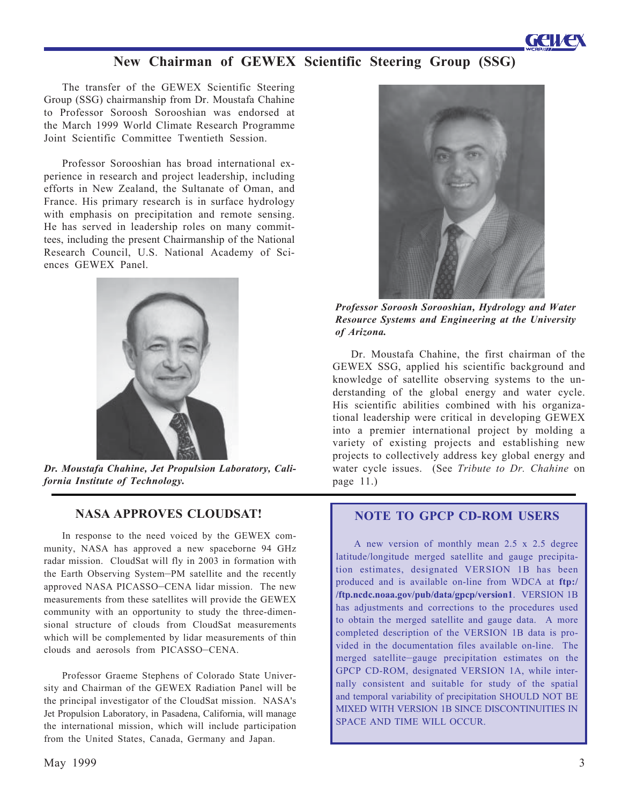# **New Chairman of GEWEX Scientific Steering Group (SSG)**

The transfer of the GEWEX Scientific Steering Group (SSG) chairmanship from Dr. Moustafa Chahine to Professor Soroosh Sorooshian was endorsed at the March 1999 World Climate Research Programme Joint Scientific Committee Twentieth Session.

Professor Sorooshian has broad international experience in research and project leadership, including efforts in New Zealand, the Sultanate of Oman, and France. His primary research is in surface hydrology with emphasis on precipitation and remote sensing. He has served in leadership roles on many committees, including the present Chairmanship of the National Research Council, U.S. National Academy of Sciences GEWEX Panel.



*Dr. Moustafa Chahine, Jet Propulsion Laboratory, California Institute of Technology.*

# **NASA APPROVES CLOUDSAT!**

In response to the need voiced by the GEWEX community, NASA has approved a new spaceborne 94 GHz radar mission. CloudSat will fly in 2003 in formation with the Earth Observing System–PM satellite and the recently approved NASA PICASSO–CENA lidar mission. The new measurements from these satellites will provide the GEWEX community with an opportunity to study the three-dimensional structure of clouds from CloudSat measurements which will be complemented by lidar measurements of thin clouds and aerosols from PICASSO–CENA.

Professor Graeme Stephens of Colorado State University and Chairman of the GEWEX Radiation Panel will be the principal investigator of the CloudSat mission. NASA's Jet Propulsion Laboratory, in Pasadena, California, will manage the international mission, which will include participation from the United States, Canada, Germany and Japan.



*Professor Soroosh Sorooshian, Hydrology and Water Resource Systems and Engineering at the University of Arizona.*

Dr. Moustafa Chahine, the first chairman of the GEWEX SSG, applied his scientific background and knowledge of satellite observing systems to the understanding of the global energy and water cycle. His scientific abilities combined with his organizational leadership were critical in developing GEWEX into a premier international project by molding a variety of existing projects and establishing new projects to collectively address key global energy and water cycle issues. (See *Tribute to Dr. Chahine* on page 11.)

#### **NOTE TO GPCP CD-ROM USERS**

A new version of monthly mean 2.5 x 2.5 degree latitude/longitude merged satellite and gauge precipitation estimates, designated VERSION 1B has been produced and is available on-line from WDCA at **ftp:/ /ftp.ncdc.noaa.gov/pub/data/gpcp/version1**. VERSION 1B has adjustments and corrections to the procedures used to obtain the merged satellite and gauge data. A more completed description of the VERSION 1B data is provided in the documentation files available on-line. The merged satellite–gauge precipitation estimates on the GPCP CD-ROM, designated VERSION 1A, while internally consistent and suitable for study of the spatial and temporal variability of precipitation SHOULD NOT BE MIXED WITH VERSION 1B SINCE DISCONTINUITIES IN SPACE AND TIME WILL OCCUR.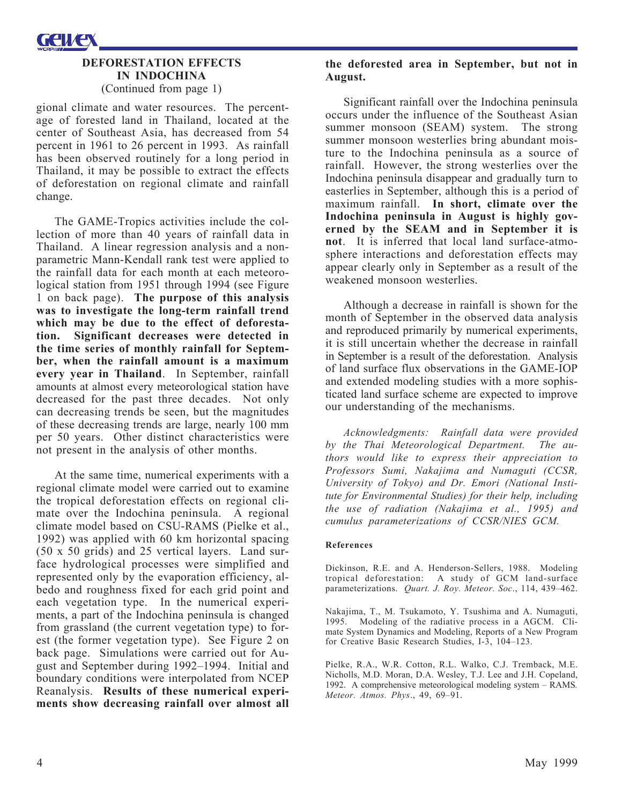

#### **DEFORESTATION EFFECTS IN INDOCHINA** (Continued from page 1)

gional climate and water resources. The percentage of forested land in Thailand, located at the center of Southeast Asia, has decreased from 54 percent in 1961 to 26 percent in 1993. As rainfall has been observed routinely for a long period in Thailand, it may be possible to extract the effects of deforestation on regional climate and rainfall change.

The GAME-Tropics activities include the collection of more than 40 years of rainfall data in Thailand. A linear regression analysis and a nonparametric Mann-Kendall rank test were applied to the rainfall data for each month at each meteorological station from 1951 through 1994 (see Figure 1 on back page). **The purpose of this analysis was to investigate the long-term rainfall trend which may be due to the effect of deforestation. Significant decreases were detected in the time series of monthly rainfall for September, when the rainfall amount is a maximum every year in Thailand**. In September, rainfall amounts at almost every meteorological station have decreased for the past three decades. Not only can decreasing trends be seen, but the magnitudes of these decreasing trends are large, nearly 100 mm per 50 years. Other distinct characteristics were not present in the analysis of other months.

At the same time, numerical experiments with a regional climate model were carried out to examine the tropical deforestation effects on regional climate over the Indochina peninsula. A regional climate model based on CSU-RAMS (Pielke et al., 1992) was applied with 60 km horizontal spacing (50 x 50 grids) and 25 vertical layers. Land surface hydrological processes were simplified and represented only by the evaporation efficiency, albedo and roughness fixed for each grid point and each vegetation type. In the numerical experiments, a part of the Indochina peninsula is changed from grassland (the current vegetation type) to forest (the former vegetation type). See Figure 2 on back page. Simulations were carried out for August and September during 1992–1994. Initial and boundary conditions were interpolated from NCEP Reanalysis. **Results of these numerical experiments show decreasing rainfall over almost all**

#### **the deforested area in September, but not in August.**

Significant rainfall over the Indochina peninsula occurs under the influence of the Southeast Asian summer monsoon (SEAM) system. The strong summer monsoon westerlies bring abundant moisture to the Indochina peninsula as a source of rainfall. However, the strong westerlies over the Indochina peninsula disappear and gradually turn to easterlies in September, although this is a period of maximum rainfall. **In short, climate over the Indochina peninsula in August is highly governed by the SEAM and in September it is not**. It is inferred that local land surface-atmosphere interactions and deforestation effects may appear clearly only in September as a result of the weakened monsoon westerlies.

Although a decrease in rainfall is shown for the month of September in the observed data analysis and reproduced primarily by numerical experiments, it is still uncertain whether the decrease in rainfall in September is a result of the deforestation. Analysis of land surface flux observations in the GAME-IOP and extended modeling studies with a more sophisticated land surface scheme are expected to improve our understanding of the mechanisms.

*Acknowledgments: Rainfall data were provided by the Thai Meteorological Department. The authors would like to express their appreciation to Professors Sumi, Nakajima and Numaguti (CCSR, University of Tokyo) and Dr. Emori (National Institute for Environmental Studies) for their help, including the use of radiation (Nakajima et al., 1995) and cumulus parameterizations of CCSR/NIES GCM.*

#### **References**

Dickinson, R.E. and A. Henderson-Sellers, 1988. Modeling tropical deforestation: A study of GCM land-surface parameterizations. *Quart. J. Roy. Meteor. Soc*., 114, 439–462.

Nakajima, T., M. Tsukamoto, Y. Tsushima and A. Numaguti, 1995. Modeling of the radiative process in a AGCM. Climate System Dynamics and Modeling, Reports of a New Program for Creative Basic Research Studies, I-3, 104–123.

Pielke, R.A., W.R. Cotton, R.L. Walko, C.J. Tremback, M.E. Nicholls, M.D. Moran, D.A. Wesley, T.J. Lee and J.H. Copeland, 1992. A comprehensive meteorological modeling system – RAMS*. Meteor. Atmos. Phys*., 49, 69–91.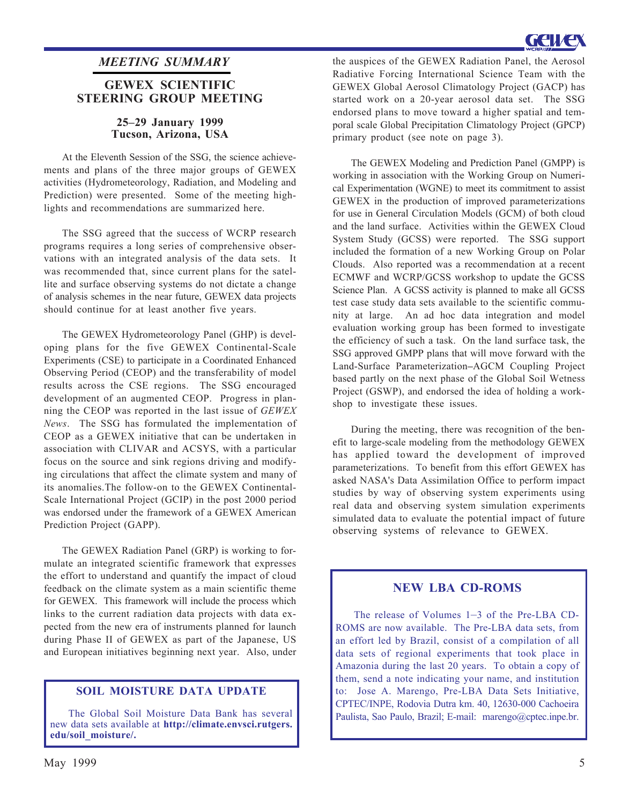# *MEETING SUMMARY* **GEWEX SCIENTIFIC STEERING GROUP MEETING**

#### **25–29 January 1999 Tucson, Arizona, USA**

At the Eleventh Session of the SSG, the science achievements and plans of the three major groups of GEWEX activities (Hydrometeorology, Radiation, and Modeling and Prediction) were presented. Some of the meeting highlights and recommendations are summarized here.

The SSG agreed that the success of WCRP research programs requires a long series of comprehensive observations with an integrated analysis of the data sets. It was recommended that, since current plans for the satellite and surface observing systems do not dictate a change of analysis schemes in the near future, GEWEX data projects should continue for at least another five years.

The GEWEX Hydrometeorology Panel (GHP) is developing plans for the five GEWEX Continental-Scale Experiments (CSE) to participate in a Coordinated Enhanced Observing Period (CEOP) and the transferability of model results across the CSE regions. The SSG encouraged development of an augmented CEOP. Progress in planning the CEOP was reported in the last issue of *GEWEX News*. The SSG has formulated the implementation of CEOP as a GEWEX initiative that can be undertaken in association with CLIVAR and ACSYS, with a particular focus on the source and sink regions driving and modifying circulations that affect the climate system and many of its anomalies.The follow-on to the GEWEX Continental-Scale International Project (GCIP) in the post 2000 period was endorsed under the framework of a GEWEX American Prediction Project (GAPP).

The GEWEX Radiation Panel (GRP) is working to formulate an integrated scientific framework that expresses the effort to understand and quantify the impact of cloud feedback on the climate system as a main scientific theme for GEWEX. This framework will include the process which links to the current radiation data projects with data expected from the new era of instruments planned for launch during Phase II of GEWEX as part of the Japanese, US and European initiatives beginning next year. Also, under

### **SOIL MOISTURE DATA UPDATE**

The Global Soil Moisture Data Bank has several new data sets available at **http://climate.envsci.rutgers. edu/soil\_moisture/.**

the auspices of the GEWEX Radiation Panel, the Aerosol Radiative Forcing International Science Team with the GEWEX Global Aerosol Climatology Project (GACP) has started work on a 20-year aerosol data set. The SSG endorsed plans to move toward a higher spatial and temporal scale Global Precipitation Climatology Project (GPCP) primary product (see note on page 3).

The GEWEX Modeling and Prediction Panel (GMPP) is working in association with the Working Group on Numerical Experimentation (WGNE) to meet its commitment to assist GEWEX in the production of improved parameterizations for use in General Circulation Models (GCM) of both cloud and the land surface. Activities within the GEWEX Cloud System Study (GCSS) were reported. The SSG support included the formation of a new Working Group on Polar Clouds. Also reported was a recommendation at a recent ECMWF and WCRP/GCSS workshop to update the GCSS Science Plan. A GCSS activity is planned to make all GCSS test case study data sets available to the scientific community at large. An ad hoc data integration and model evaluation working group has been formed to investigate the efficiency of such a task. On the land surface task, the SSG approved GMPP plans that will move forward with the Land-Surface Parameterization**–**AGCM Coupling Project based partly on the next phase of the Global Soil Wetness Project (GSWP), and endorsed the idea of holding a workshop to investigate these issues.

During the meeting, there was recognition of the benefit to large-scale modeling from the methodology GEWEX has applied toward the development of improved parameterizations. To benefit from this effort GEWEX has asked NASA's Data Assimilation Office to perform impact studies by way of observing system experiments using real data and observing system simulation experiments simulated data to evaluate the potential impact of future observing systems of relevance to GEWEX.

#### **NEW LBA CD-ROMS**

The release of Volumes 1–3 of the Pre-LBA CD-ROMS are now available. The Pre-LBA data sets, from an effort led by Brazil, consist of a compilation of all data sets of regional experiments that took place in Amazonia during the last 20 years. To obtain a copy of them, send a note indicating your name, and institution to: Jose A. Marengo, Pre-LBA Data Sets Initiative, CPTEC/INPE, Rodovia Dutra km. 40, 12630-000 Cachoeira Paulista, Sao Paulo, Brazil; E-mail: marengo@cptec.inpe.br.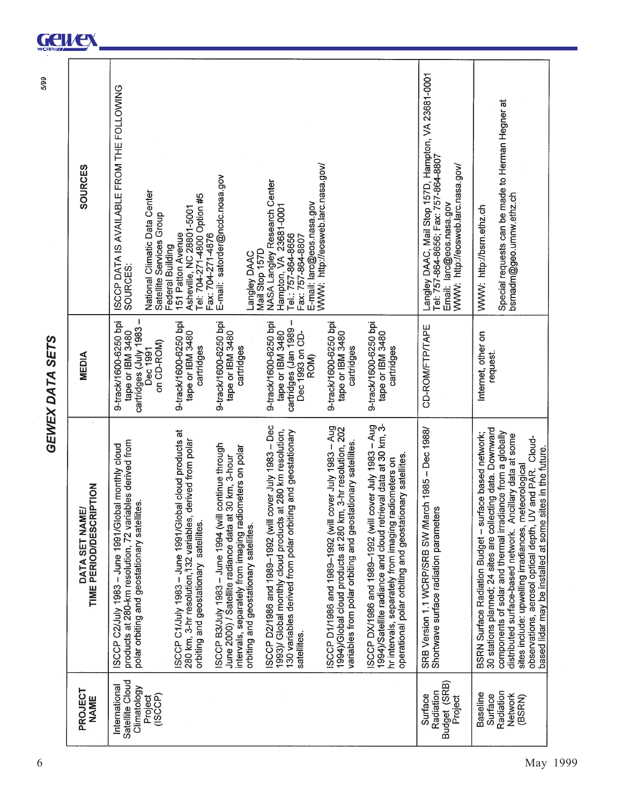| ï<br>ŕ |  |
|--------|--|
| Ĺ      |  |
|        |  |
|        |  |
|        |  |

| SOURCES                                      | SCCP DATA IS AVAILABLE FROM THE FOLLOWING<br>National Climatic Data Center<br>Satellite Services Group<br>Federal Building<br>SOURCES:                         | Tel: 704-271-4800 Option #5<br>Asheville, NC 28801-5001<br>151 Patton Avenue<br>Fax: 704-271-4876                                                              | E-mail: satorder@ncdc.noaa.gov<br>Mail Stop 157D<br><b>CAAC</b> velpne-                                                                                                                                                  | NASA Langley Research Center<br>Hampton, VA 23681-0001<br>E-mail: larc@eos.nasa.gov<br>Tel.: 757-864-8656<br>Fax: 757-864-8807                                                                     | WWW.http://eosweb.larc.nasa.gov/                                                                                                                                                      |                                                                                                                                                                                                                                               | Langley DAAC, Mail Stop 157D, Hampton, VA 23681-0001<br>Tel: 757-864-8656; Fax: 757-864-8807<br>WWW: http://eosweb.larc.nasa.gov/<br>Email: larc@eos.nasa.gov | Special requests can be made to Herman Hegner at<br>bsmadm@geo.umnw.ethz.ch<br>WWW: http://bsm.ethz.ch                                                                                                                                                                                                                                                                                                                           |
|----------------------------------------------|----------------------------------------------------------------------------------------------------------------------------------------------------------------|----------------------------------------------------------------------------------------------------------------------------------------------------------------|--------------------------------------------------------------------------------------------------------------------------------------------------------------------------------------------------------------------------|----------------------------------------------------------------------------------------------------------------------------------------------------------------------------------------------------|---------------------------------------------------------------------------------------------------------------------------------------------------------------------------------------|-----------------------------------------------------------------------------------------------------------------------------------------------------------------------------------------------------------------------------------------------|---------------------------------------------------------------------------------------------------------------------------------------------------------------|----------------------------------------------------------------------------------------------------------------------------------------------------------------------------------------------------------------------------------------------------------------------------------------------------------------------------------------------------------------------------------------------------------------------------------|
| <b>MEDIA</b>                                 | 9-track/1600-6250 bpi<br>cartridges (July 1983<br>tape or IBM 3480<br>on CD-ROM)<br><b>Dec</b> 1991                                                            | 9-track/1600-6250 bpi<br>tape or IBM 3480<br>cartridges                                                                                                        | 9-track/1600-6250 bpi<br>tape or IBM 3480<br>cartridges                                                                                                                                                                  | 9-track/1600-6250 bpi<br>cartridges (Jan 1989<br>tape or IBM 3480<br>Dec 1993 on CD-<br>ROM)                                                                                                       | 9-track/1600-6250 bpi<br>tape or IBM 3480<br>cartridges                                                                                                                               | 9-track/1600-6250 bpi<br>tape or IBM 3480<br>cartridges                                                                                                                                                                                       | CD-ROM/FTP/TAPE                                                                                                                                               | Internet, other on<br>request.                                                                                                                                                                                                                                                                                                                                                                                                   |
| PTION<br>DATA SET NAME<br>TIME PERIOD/DESCRI | products at 280-km resolution, 72 variables derived from<br>SCCP C2/July 1983 - June 1991/Global monthly cloud<br>polar orbiting and geostationary satellites. | SCCP C1/July 1983 - June 1991/Global cloud products at<br>280 km, 3-hr resolution, 132 variables, derived from polar<br>orbiting and geostationary satellites. | continue through<br>intervals, separately from imaging radiometers on polar<br>30 km, 3-hour<br>June 2000) / Satellite radiance data at<br>SCCP B3/July 1983 - June 1994 (will<br>orbiting and geostationary satellites. | SCCP D2/1986 and 1989-1992 (will cover July 1983 - Dec<br>1993)/ Global monthly cloud products at 280 km resolution,<br>130 variables derived from polar orbiting and geostationary<br>satellites. | ISCCP D1/1986 and 1989–1992 (will cover July 1983 – Aug<br>1994)/Global cloud products at 280 km, 3-hr resolution, 202<br>variables from polar orbiting and geostationary satellites. | ISCCP DX/1986 and 1989–1992 (will cover July 1983 – Aug<br>1994)/Satellite radiance and cloud retrieval data at 30 km, 3-<br>operational polar orbiting and geostationary satellites.<br>hr intervals, separately from imaging radiometers on | SRB Version 1.1 WCRP/SRB SW March 1985 – Dec 1988/<br>Shortwave surface radiation parameters                                                                  | BSRN Surface Radiation Budget – surface based network;<br>30 stations planned; 24 sites are collecting data. Downward<br>components of solar and thermal irradiance from a globally<br>distributed surface-based network. Ancillary data at some<br>sites include: upwelling irradiances, meteorological<br>observations, aerosol optical depth, UV and PAR. Cloud-<br>based lidar may be installed at some sites in the future. |
| PROJECT<br><b>NAME</b>                       | Satellite Cloud<br>International<br>Climatology<br>(ISCCP)<br>Project                                                                                          |                                                                                                                                                                |                                                                                                                                                                                                                          |                                                                                                                                                                                                    |                                                                                                                                                                                       |                                                                                                                                                                                                                                               | Budget (SRB)<br>Radiation<br><b>Surface</b><br>Project                                                                                                        | Radiation<br>Baseline<br>Network<br>Surface<br>(BSRN)                                                                                                                                                                                                                                                                                                                                                                            |

# Gewex

5/99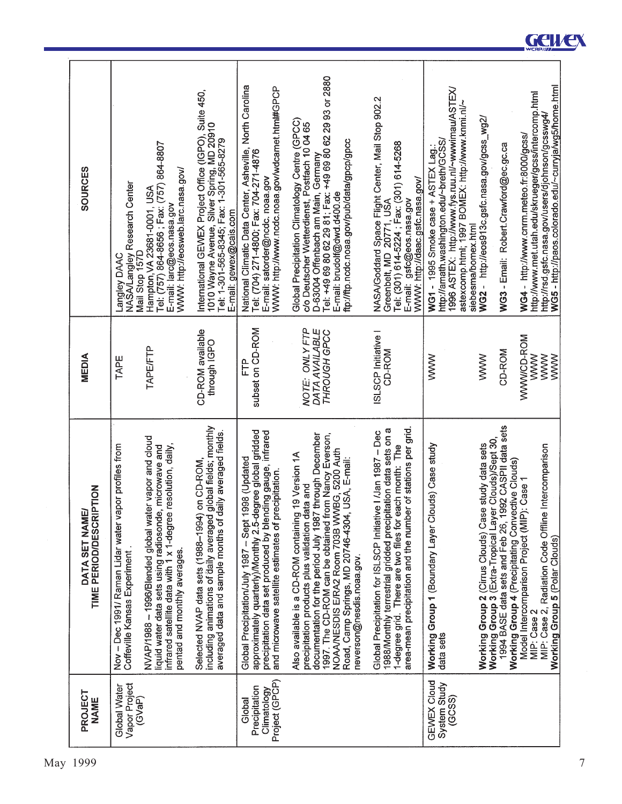| SOURCES                                           | Tel: (757) 864-8656 ; Fax: (757) 864-8807<br>WWW: http://eosweb.larc.nasa.gov/<br>NASA/Langley Research Center<br>Hampton, VA 23681-0001, USA<br>E-mail: larc@eos.nasa.gov<br>Mail Stop 157D<br>Langley DAAC                                                                                             | International GEWEX Project Office (IGPO), Suite 450,<br>1010 Wayne Avenue, Silver Spring, MD 20910<br>Tel: 1-301-565-8345; Fax: 1-301-565-8279<br>E-mail: gewex@cais.com          | National Climatic Data Center, Asheville, North Carolina<br>WWW: http://www.ncdc.noaa.gov/wdcamet.htm#GPCP<br>Tel: (704) 271-4800; Fax: 704-271-4876<br>E-mail: satorder@ncdc. noaa.gov                                                    | Tel: +49 69 80 62 29 81; Fax: +49 69 80 62 29 93 or 2880<br>Global Precipitation Climatology Centre (GPCC)<br>c/o Deutscher Wetterdienst, Postfach 10 04 65<br>ftp://ftp.ncdc.noaa.gov/pub/data/gpcp/gpcc<br>D-63004 Offenbach am Main, Germany<br>E-mail: brudolf@dwd.d400.de                                                                           | NASA/Goddard Space Flight Center, Mail Stop 902.2<br>Greenbelt, MD_20771, USA<br>Tel: (301) 614-5224 ; Fax: (301) 614-5268<br>WWW: http://daac.gsfc.nasa.gov/<br>E-mail: gsfc@eos.nasa.gov                                                              | 1996 ASTEX: http://www.fys.ruu.nl/~wwwimau/ASTEX/<br>astexcomp.html; 1997 BOMEX: http://www.knmi.nl/~<br>http://amath.washington.edu/~breth/GCSS/<br>WG1 - 1995 Smoke case + ASTEX Lag.:<br>siebesma/bomex.html | WG2 - http://eos913c.gsfc.nasa.gov/gcss_wg2/<br>WG3 - Email: Robert.Crawford@ec.gc.ca                                                                                                                                                              | WG5 - http://paos.colorado.edu/~curryja/wg5/home.html<br>http://www.met.utah.edu/skrueger/gcss/intercomp.html<br>http://rsd.gsfc.nasa.gov/users/djohnson/gcsswg4/<br>WG4 - http://www.cnrm.meteo.fr:8000/gcss/ |
|---------------------------------------------------|----------------------------------------------------------------------------------------------------------------------------------------------------------------------------------------------------------------------------------------------------------------------------------------------------------|------------------------------------------------------------------------------------------------------------------------------------------------------------------------------------|--------------------------------------------------------------------------------------------------------------------------------------------------------------------------------------------------------------------------------------------|----------------------------------------------------------------------------------------------------------------------------------------------------------------------------------------------------------------------------------------------------------------------------------------------------------------------------------------------------------|---------------------------------------------------------------------------------------------------------------------------------------------------------------------------------------------------------------------------------------------------------|-----------------------------------------------------------------------------------------------------------------------------------------------------------------------------------------------------------------|----------------------------------------------------------------------------------------------------------------------------------------------------------------------------------------------------------------------------------------------------|----------------------------------------------------------------------------------------------------------------------------------------------------------------------------------------------------------------|
| MEDIA                                             | TAPE/FTP<br>TAPE                                                                                                                                                                                                                                                                                         | CD-ROM available<br>through IGPO                                                                                                                                                   | subset on CD-ROM<br>P<br>FTP                                                                                                                                                                                                               | NOTE: ONLY FTP<br>DATA AVAILABLE<br>THROUGH GPCC                                                                                                                                                                                                                                                                                                         | <b>ISLSCP</b> Initiative I<br>CD-ROM                                                                                                                                                                                                                    | <b>NNW</b><br>S<br>M                                                                                                                                                                                            | CD-ROM                                                                                                                                                                                                                                             | WOR-POM<br><b>NNW</b><br><b>NNW</b><br><b>NWW</b>                                                                                                                                                              |
| <b>DATA SET NAME/<br/>TIME PERIOD/DESCRIPTION</b> | NVAP/1988 - 1996/Blended global water vapor and cloud<br>infrared satellite data with 1 x 1-degree resolution, daily,<br>Nov - Dec 1991/ Raman Lidar water vapor profiles from<br>liquid water data sets using radiosonde, microwave and<br>Coffeville Kansas Experiment<br>pentad and monthly averages. | global fields; monthly<br>daily averaged fields.<br>Selected NVAP data sets (1988-1994) on CD-ROM.<br>including animations of daily averaged<br>averaged data and sample months of | approximately quarterly)/Monthly 2.5-degree global gridded<br>precipitation data set produced by blending gauge, infrared<br>1998 (Updated<br>and microwave satellite estimates of precipitation.<br>Global Precipitation/July 1987 - Sept | documentation for the period July 1987 through December<br>1997. The CD-ROM can be obtained from Nancy Everson,<br>NOAA/NESDIS E/RA2 Room 703B WWBG, 5200 Auth<br>Also available is a CD-ROM containing 19 Version 1A<br>Road, Camp Springs, MD 20746-4304, USA, E-mail:<br>precipitation products plus validation data and<br>neverson@nesdis.noaa.gov. | area-mean precipitation and the number of stations per grid.<br>1988/Monthly terrestrial gridded precipitation data sets on a<br>Global Precipitation for ISLSCP Initiative I /Jan 1987 - Dec<br>1-degree grid. There are two files for each month: The | Working Group 1 (Boundary Layer Clouds) Case study<br>data sets                                                                                                                                                 | 1992 CASPII data sets<br>Working Group 2 (Cirrus Clouds) Case study data sets<br>Working Group 3 (Extra-Tropical Layer Clouds)/Sept 30,<br>1994 BASE data sets and Feb 26, 1992 CASPII data s<br>Working Group 4 (Precipitating Convective Clouds) | MIP: Case 2, Radiation Code Offline Intercomparison<br>Model Intercomparison Project (MIP); Case 1<br>Working Group 5 (Polar Clouds)<br>MIP: Case 2                                                            |
| PROJECT<br><b>NAME</b>                            | Vapor Project<br>Global Water<br>(GVaP)                                                                                                                                                                                                                                                                  |                                                                                                                                                                                    | Project (GPCP)<br>Precipitation<br>Climatology<br>Global                                                                                                                                                                                   |                                                                                                                                                                                                                                                                                                                                                          |                                                                                                                                                                                                                                                         | GEWEX Cloud<br>System Study<br>(GCSS)                                                                                                                                                                           |                                                                                                                                                                                                                                                    |                                                                                                                                                                                                                |

Gewex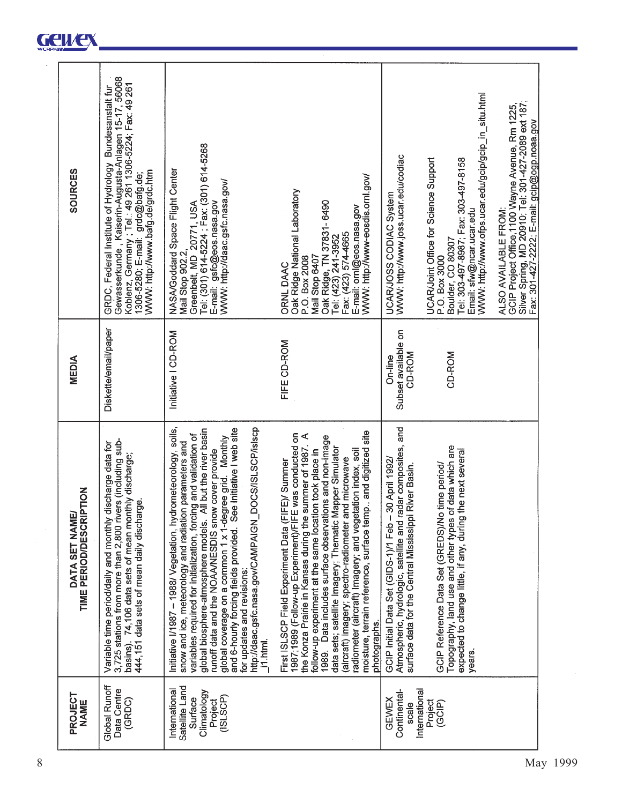| SOURCES                                   | Gewasserkunde, Kaiserin-Augusta-Anlagen 15-17, 56068<br>Koblenz, Germany ; Tel.: 49 261 1306-5224; Fax: 49 261<br>1306-5280; E-mail:  grdc@bafg.de;<br>GRDC, Federal Institute of Hydrology Bundesanstalt fur<br>WWW: http://www.bafg.de/grdc.htm | Greenbelt, MD 20771, USA<br>Tel: (301) 614-5224 ; Fax: (301) 614-5268<br>NASA/Goddard Space Flight Center<br>E-mail: gsfc@eos.nasa.gov<br>WWW: http://daac.gsfc.nasa.gov/<br>Mail Stop 902.2,                                                                                                                                                                                                                                                                                                                                                        | WWW: http://www-eosdis.ornl.gov/<br>Oak Ridge National Laboratory<br>Oak Ridge, TN 37831-6490<br>Tel: (423) 241-3952<br>E-mail: orni@eos.nasa.gov<br>Fax: (423) 574-4665<br>Mail Stop 6407<br>P.O. Box 2008<br><b>ORNL DAAC</b>                                                                                                                                                                                                                                                                                                                                   | WWW: http://www.joss.ucar.edu/codiac<br>UCARJOSS CODIAC System                                                                                                                       | WWW: http://www.ofps.ucar.edu/gcip/gcip_in_situ.html<br>UCARJoint Office for Science Support<br>Tel: 303-497-8987; Fax: 303-497-8158<br>Email: sfw@ncar.ucar.edu<br>Boulder, CO 80307<br>P.O. Box 3000 | GCIP Project Office, 1100 Wayne Avenue, Rm 1225,<br>Silver Spring, MD 20910; Tel: 301-427-2089 ext 187;<br>Fax: 301-427-2222; E-mail: gcip@ogp.noaa.gov<br>ALSO AVAILABLE FROM: |
|-------------------------------------------|---------------------------------------------------------------------------------------------------------------------------------------------------------------------------------------------------------------------------------------------------|------------------------------------------------------------------------------------------------------------------------------------------------------------------------------------------------------------------------------------------------------------------------------------------------------------------------------------------------------------------------------------------------------------------------------------------------------------------------------------------------------------------------------------------------------|-------------------------------------------------------------------------------------------------------------------------------------------------------------------------------------------------------------------------------------------------------------------------------------------------------------------------------------------------------------------------------------------------------------------------------------------------------------------------------------------------------------------------------------------------------------------|--------------------------------------------------------------------------------------------------------------------------------------------------------------------------------------|--------------------------------------------------------------------------------------------------------------------------------------------------------------------------------------------------------|---------------------------------------------------------------------------------------------------------------------------------------------------------------------------------|
| MEDIA                                     | Diskette/email/paper                                                                                                                                                                                                                              | Initiative I CD-ROM                                                                                                                                                                                                                                                                                                                                                                                                                                                                                                                                  | FIFE CD-ROM                                                                                                                                                                                                                                                                                                                                                                                                                                                                                                                                                       | Subset available on<br>CD-ROM<br>On-line                                                                                                                                             | CD-ROM                                                                                                                                                                                                 |                                                                                                                                                                                 |
| TIME PERIOD/DESCRIPTION<br>DATA SET NAME/ | 3,725 stations from more than 2,800 rivers (including sub-<br>Variable time period/daily and monthly discharge data for<br>basins). 74,106 data sets of mean monthly discharge;<br>444,151 data sets of mean daily discharge.                     | Initiative I/1987 - 1988/ Vegetation, hydrometeorology, soils,<br>http://daac.gsfc.nasa.gov/CAMPAIGN_DOCS/ISLSCP/islscp<br>and 6-hourly forcing fields provided. See Initiative I web site<br>All but the river basin<br>variables required for initialization, forcing and validation of<br>global coverage on a common 1 x 1-degree grid. Monthly<br>snow and ice, meteorology and radiation parameters and<br>runoff data and the NOAA/NESDIS snow cover provide<br>global biosphere-atmosphere models.<br>for updates and revisions:<br>11.html. | moisture, terrain reference, surface temp., and digitized site<br>1987;1989 (Follow-up Experiment)/FIFE was conducted on<br>summer of 1987. A<br>1989. Data includes surface observations and non-image<br>data sets; satellite Imagery; Thematic Mapper Simulator<br>follow-up experiment at the same location took place in<br>radiometer (aircraft) Imagery; and vegetation index, soil<br>(aircraft) imagery; spectro-radiometer and microwave<br>First ISLSCP Field Experiment Data (FIFE)/ Summer<br>the Konza Prairie in Kansas during the<br>photographs. | Atmospheric, hydrologic, satellite and radar composites, and<br>30 April 1992/<br>River Basin.<br>GCIP Initial Data Set (GIDS-1)/1 Feb -<br>surface data for the Central Mississippi | Topography, land use and other types of data which are<br>the next several<br>GCIP Reference Data Set (GREDS)/No time period/<br>expected to change little, if any, during<br>years.                   |                                                                                                                                                                                 |
| PROJECT<br><b>NAME</b>                    | Global Runoff<br>Data Centre<br>(GRDC)                                                                                                                                                                                                            | Satellite Land<br>International<br>Climatology<br>(ISLSCP)<br>Surface<br>Project                                                                                                                                                                                                                                                                                                                                                                                                                                                                     |                                                                                                                                                                                                                                                                                                                                                                                                                                                                                                                                                                   | International<br>Continental-<br>GEWEX<br>scale                                                                                                                                      | Project<br>(GCIP)                                                                                                                                                                                      |                                                                                                                                                                                 |

 $\ddot{\phantom{0}}$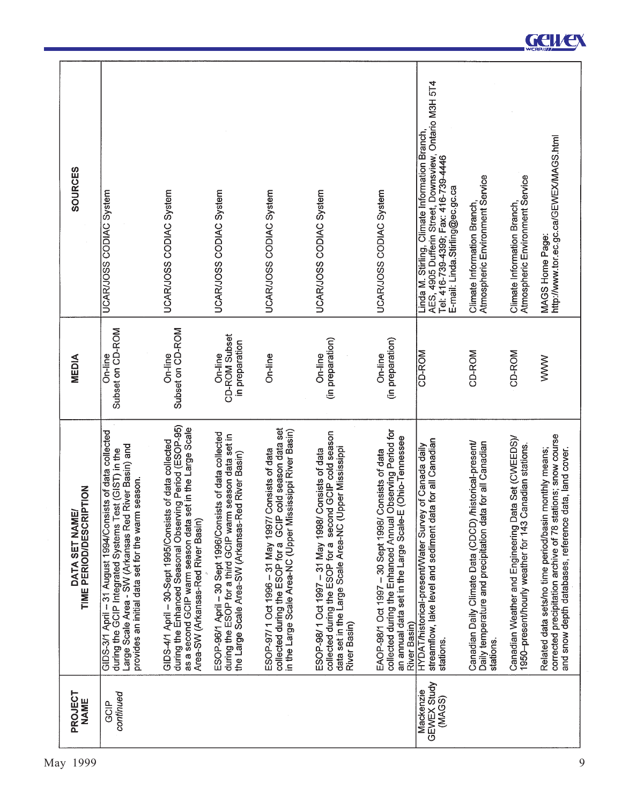AES, 4905 Dufferin Street, Downsview, Ontario M3H 5T4<br>Tel: 416-739-4399; Fax: 416-739-4446 Linda M. Stirling, Climate Information Branch, MAGS Home Page:<br>http://www.tor.ec.gc.ca/GEWEX/MAGS.html SOURCES Climate Information Branch,<br>Atmospheric Environment Service Atmospheric Environment Service E-mail: Linda.Stirling@ec.gc.ca UCAR/JOSS CODIAC System UCARJOSS CODIAC System UCAR/JOSS CODIAC System UCARJOSS CODIAC System UCARJOSS CODIAC System UCARJOSS CODIAC System Climate Information Branch On-line<br>Subset on CD-ROM Subset on CD-ROM CD-ROM Subset (in preparation) (in preparation) in preparation CD-ROM CD-ROM CD-ROM **MEDIA** On-line On-line On-line **NWW** On-line On-line during the Enhanced Seasonal Observing Period (ESOP-95) as a second GCIP warm season data set in the Large Scale ESOP-97/1 Oct 1996 - 31 May 1997/ Consists of data<br>collected during the ESOP for a GCIP cold season data set in the Large Scale Area-NC (Upper Mississippi River Basin) ESOP-98/1 Oct 1997 – 31 May 1998/ Consists of data<br>collected during the ESOP for a second GCIP cold season collected during the Enhanced Annual Observing Period for<br>an annual data set in the Large Scale-E (Ohio-Tennessee GIDS-3/1 April -- 31 August 1994/Consists of data collected ESOP-96/1 April -- 30 Sept 1996/Consists of data collected during the ESOP for a third GCIP warm season data set in corrected precipitation archive of 78 stations; snow course<br>and snow depth databases, reference data, land cover. Canadian Weather and Engineering Data Set (CWEEDS)/ HYDAT/historical-presentWater Survey of Canada daily<br>streamflow, lake level and sediment data for all Canadian GIDS-4/1 April - 30-Sept 1995/Consists of data collected Canadian Daily Climate Data (CDCD) /historical-present/ Daily temperature and precipitation data for all Canadian Large Scale Area - SW (Arkansas Red River Basin) and 1950-present/hourly weather for 143 Canadian stations. data set in the Large Scale Area-NC (Upper Mississippi<br>River Basin) during the GCIP Integrated Systems Test (GIST) in the Related data sets/no time period/basin monthly means; EAOP-98/1 Oct 1997 - 30 Sept 1998/ Consists of data the Large Scale Area-SW (Arkansas-Red River Basin) provides an initial data set for the warm season. TIME PERIOD/DESCRIPTION DATA SET NAME/ Area-SW (Arkansas-Red River Basin) **River Basin**) stations. stations. GEWEX Study PROJECT<br>NAME Mackenzie continued (MAGS) GCIP

Gewe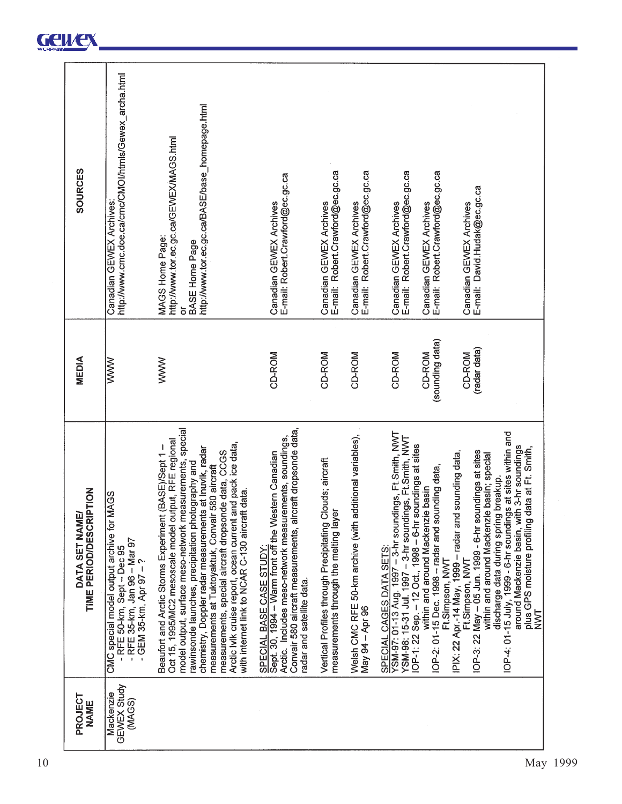| <b>SOURCES</b>                            | http://www.cmc.doe.ca/cmc/CMOl/htmls/Gewex_archa.html<br>Canadian GEWEX Archives:                                                            | http://www.tor.ec.gc.ca/BASE/base_homepage.html<br>http://www.tor.ec.gc.ca/GEWEX/MAGS.html<br>MAGS Home Page:<br>BASE Home Page                                                                                                                                                                                                                                                                                                                                                                                         | Canadian GEWEX Archives<br>E-mail: Robert.Crawford@ec.gc.ca                                                                                                                                                                           | E-mail: Robert.Crawford@ec.gc.ca<br>Canadian GEWEX Archives                                           | Canadian GEWEX Archives<br>E-mail: Robert.Crawford@ec.gc.ca                    | E-mail: Robert.Crawford@ec.gc.ca<br>Canadian GEWEX Archives                                                                                                                                               | Canadian GEWEX Archives<br>E-mail: Robert.Crawford@ec.gc.ca                           | Canadian GEWEX Archives<br>E-mail: David.Hudak@ec.gc.ca                                                                                                                                             |                                                                                                                                                                                                                         |
|-------------------------------------------|----------------------------------------------------------------------------------------------------------------------------------------------|-------------------------------------------------------------------------------------------------------------------------------------------------------------------------------------------------------------------------------------------------------------------------------------------------------------------------------------------------------------------------------------------------------------------------------------------------------------------------------------------------------------------------|---------------------------------------------------------------------------------------------------------------------------------------------------------------------------------------------------------------------------------------|-------------------------------------------------------------------------------------------------------|--------------------------------------------------------------------------------|-----------------------------------------------------------------------------------------------------------------------------------------------------------------------------------------------------------|---------------------------------------------------------------------------------------|-----------------------------------------------------------------------------------------------------------------------------------------------------------------------------------------------------|-------------------------------------------------------------------------------------------------------------------------------------------------------------------------------------------------------------------------|
| <b>MEDIA</b>                              | $\overline{\text{W}}$                                                                                                                        | <b>NNW</b>                                                                                                                                                                                                                                                                                                                                                                                                                                                                                                              | CD-ROM                                                                                                                                                                                                                                | CD-ROM                                                                                                | CD-ROM                                                                         | CD-ROM                                                                                                                                                                                                    | (sounding data)<br>CD-ROM                                                             | (radar data)<br>CD-ROM                                                                                                                                                                              |                                                                                                                                                                                                                         |
| TIME PERIOD/DESCRIPTION<br>DATA SET NAME/ | <b>NAGS</b><br>CMC special model output archive for<br>- RFE 35-km, Jan 96 - Mar 97<br>- RFE 50-km, Sept - Dec 95<br>- GEM 35-km, Apr 97 - ? | model output, surface meso-network measurements, special<br>Oct 15, 1995/MC2 mesoscale model output, RFE regional<br>Arctic Ivlk cruise report, ocean current and pack ice data,<br>Beaufort and Arctic Storms Experiment (BASE)/Sept 1-<br>chemistry, Doppler radar measurements at Inuvlk, radar<br>measurements, special aircraft dropsonde data, CCGS<br>rawinsonde launches, precipitation photography and<br>measurements at Tuktoyaktuk, Convair 580 aircraft<br>with internet link to NCAR C-130 aircraft data. | Convair 580 aircraft measurements, aircraft dropsonde data,<br>Arctic. Includes meso-network measurements, soundings,<br>Sept. 30, 1994 - Warm front off the Western Canadian<br>SPECIAL BASE CASE STUDY<br>radar and satellite data. | Clouds; aircraft<br>measurements through the melting layer<br>Vertical Profiles through Precipitating | additional variables),<br>Welsh CMC RFE 50-km archive (with<br>May 94 – Apr 96 | SPECIAL CAGES DATA SETS:<br>YSM-97: 01-13 Aug. 1997 – 3-hr soundings, Ft.Smith, NWT<br>YSM-98: 15-31 Jul. 1997 – 3-hr soundings, Ft.Smith, NWT<br>OP-1: 22 Sep. - 12 Oct., 1998 - 6-hr soundings at sites | OP-2: 01-15 Dec. 1998 - radar and sounding data,<br>within and around Mackenzie basin | IOP-3: 22 May - 05 Jun. 1999 - 6-hr soundings at sites<br>PIX: 22 Apr.-14 May, 1999 - radar and sounding data,<br>within and around Mackenzie basin; special<br>Ft.Simpson, NWT<br>Ft.Simpson, NVVT | IOP-4: 01-15 July, 1999 - 6-hr soundings at sites within and<br>around Mackenzie basin, with 3-hr soundings<br>data at Ft. Smith,<br>discharge data during spring breakup.<br>plus GPS moisture profiling<br><b>NAT</b> |
| PROJECT<br><b>NAME</b>                    | GEWEX Study<br>Mackenzie<br>(MAGS)                                                                                                           |                                                                                                                                                                                                                                                                                                                                                                                                                                                                                                                         |                                                                                                                                                                                                                                       |                                                                                                       |                                                                                |                                                                                                                                                                                                           |                                                                                       |                                                                                                                                                                                                     |                                                                                                                                                                                                                         |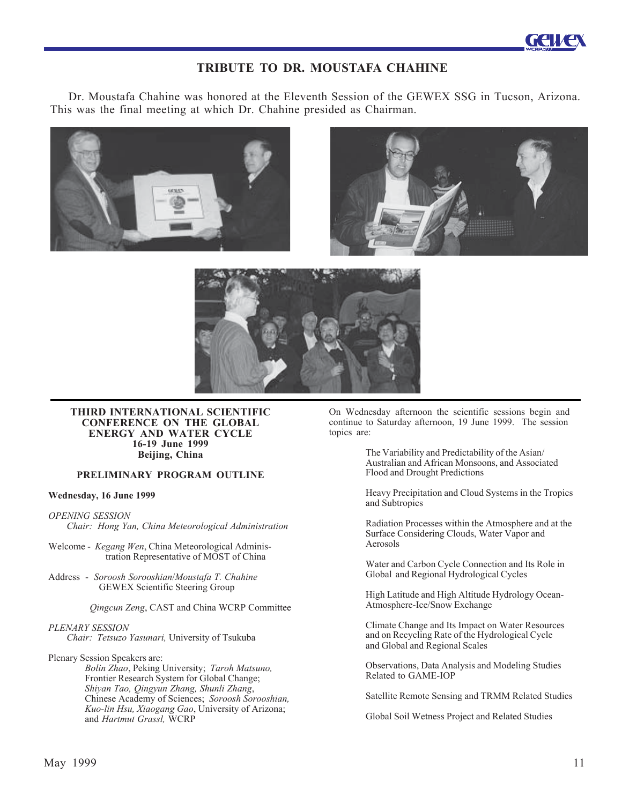

# **TRIBUTE TO DR. MOUSTAFA CHAHINE**

Dr. Moustafa Chahine was honored at the Eleventh Session of the GEWEX SSG in Tucson, Arizona. This was the final meeting at which Dr. Chahine presided as Chairman.



#### **THIRD INTERNATIONAL SCIENTIFIC CONFERENCE ON THE GLOBAL ENERGY AND WATER CYCLE 16-19 June 1999 Beijing, China**

#### **PRELIMINARY PROGRAM OUTLINE**

#### **Wednesday, 16 June 1999**

*OPENING SESSION Chair: Hong Yan, China Meteorological Administration*

- Welcome *Kegang Wen*, China Meteorological Adminis tration Representative of MOST of China
- Address *Soroosh Sorooshian*/*Moustafa T. Chahine* GEWEX Scientific Steering Group

 *Qingcun Zeng*, CAST and China WCRP Committee

#### *PLENARY SESSION*

*Chair: Tetsuzo Yasunari,* University of Tsukuba

Plenary Session Speakers are:

*Bolin Zhao*, Peking University; *Taroh Matsuno,* Frontier Research System for Global Change; *Shiyan Tao, Qingyun Zhang, Shunli Zhang*, Chinese Academy of Sciences; *Soroosh Sorooshian, Kuo-lin Hsu, Xiaogang Gao*, University of Arizona; and *Hartmut Grassl,* WCRP

On Wednesday afternoon the scientific sessions begin and continue to Saturday afternoon, 19 June 1999. The session topics are:

> The Variability and Predictability of the Asian/ Australian and African Monsoons, and Associated Flood and Drought Predictions

Heavy Precipitation and Cloud Systems in the Tropics and Subtropics

Radiation Processes within the Atmosphere and at the Surface Considering Clouds, Water Vapor and Aerosols

Water and Carbon Cycle Connection and Its Role in Global and Regional Hydrological Cycles

High Latitude and High Altitude Hydrology Ocean-Atmosphere-Ice/Snow Exchange

Climate Change and Its Impact on Water Resources and on Recycling Rate of the Hydrological Cycle and Global and Regional Scales

Observations, Data Analysis and Modeling Studies Related to GAME-IOP

Satellite Remote Sensing and TRMM Related Studies

Global Soil Wetness Project and Related Studies